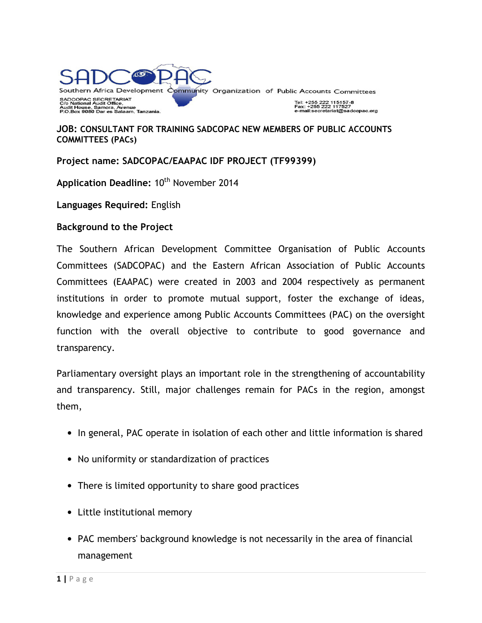

#### **JOB: CONSULTANT FOR TRAINING SADCOPAC NEW MEMBERS OF PUBLIC ACCOUNTS COMMITTEES (PACs)**

#### **Project name: SADCOPAC/EAAPAC IDF PROJECT (TF99399)**

Application Deadline: 10<sup>th</sup> November 2014

**Languages Required:** English

#### **Background to the Project**

The Southern African Development Committee Organisation of Public Accounts Committees (SADCOPAC) and the Eastern African Association of Public Accounts Committees (EAAPAC) were created in 2003 and 2004 respectively as permanent institutions in order to promote mutual support, foster the exchange of ideas, knowledge and experience among Public Accounts Committees (PAC) on the oversight function with the overall objective to contribute to good governance and transparency.

Parliamentary oversight plays an important role in the strengthening of accountability and transparency. Still, major challenges remain for PACs in the region, amongst them,

- In general, PAC operate in isolation of each other and little information is shared
- No uniformity or standardization of practices
- There is limited opportunity to share good practices
- Little institutional memory
- PAC members' background knowledge is not necessarily in the area of financial management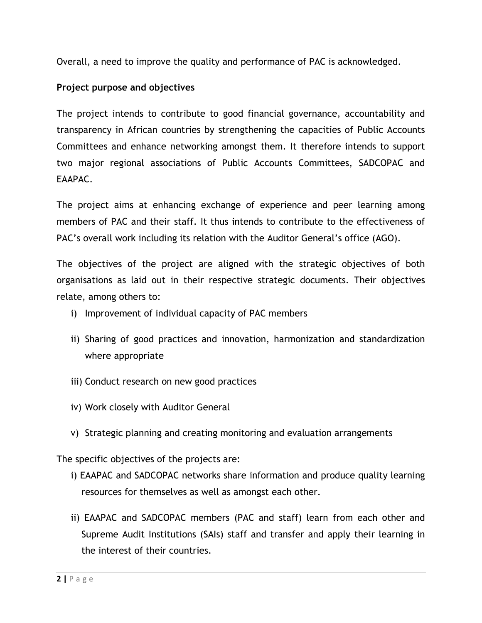Overall, a need to improve the quality and performance of PAC is acknowledged.

# **Project purpose and objectives**

The project intends to contribute to good financial governance, accountability and transparency in African countries by strengthening the capacities of Public Accounts Committees and enhance networking amongst them. It therefore intends to support two major regional associations of Public Accounts Committees, SADCOPAC and EAAPAC.

The project aims at enhancing exchange of experience and peer learning among members of PAC and their staff. It thus intends to contribute to the effectiveness of PAC's overall work including its relation with the Auditor General's office (AGO).

The objectives of the project are aligned with the strategic objectives of both organisations as laid out in their respective strategic documents. Their objectives relate, among others to:

- i) Improvement of individual capacity of PAC members
- ii) Sharing of good practices and innovation, harmonization and standardization where appropriate
- iii) Conduct research on new good practices
- iv) Work closely with Auditor General
- v) Strategic planning and creating monitoring and evaluation arrangements

The specific objectives of the projects are:

- i) EAAPAC and SADCOPAC networks share information and produce quality learning resources for themselves as well as amongst each other.
- ii) EAAPAC and SADCOPAC members (PAC and staff) learn from each other and Supreme Audit Institutions (SAIs) staff and transfer and apply their learning in the interest of their countries.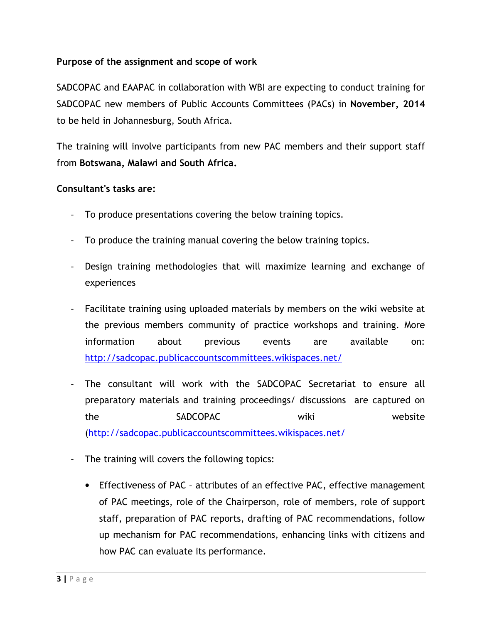## **Purpose of the assignment and scope of work**

SADCOPAC and EAAPAC in collaboration with WBI are expecting to conduct training for SADCOPAC new members of Public Accounts Committees (PACs) in **November, 2014**  to be held in Johannesburg, South Africa.

The training will involve participants from new PAC members and their support staff from **Botswana, Malawi and South Africa.**

#### **Consultant's tasks are:**

- To produce presentations covering the below training topics.
- To produce the training manual covering the below training topics.
- Design training methodologies that will maximize learning and exchange of experiences
- Facilitate training using uploaded materials by members on the wiki website at the previous members community of practice workshops and training. More information about previous events are available on: http://sadcopac.publicaccountscommittees.wikispaces.net/
- The consultant will work with the SADCOPAC Secretariat to ensure all preparatory materials and training proceedings/ discussions are captured on the SADCOPAC wiki website (http://sadcopac.publicaccountscommittees.wikispaces.net/
- The training will covers the following topics:
	- Effectiveness of PAC attributes of an effective PAC, effective management of PAC meetings, role of the Chairperson, role of members, role of support staff, preparation of PAC reports, drafting of PAC recommendations, follow up mechanism for PAC recommendations, enhancing links with citizens and how PAC can evaluate its performance.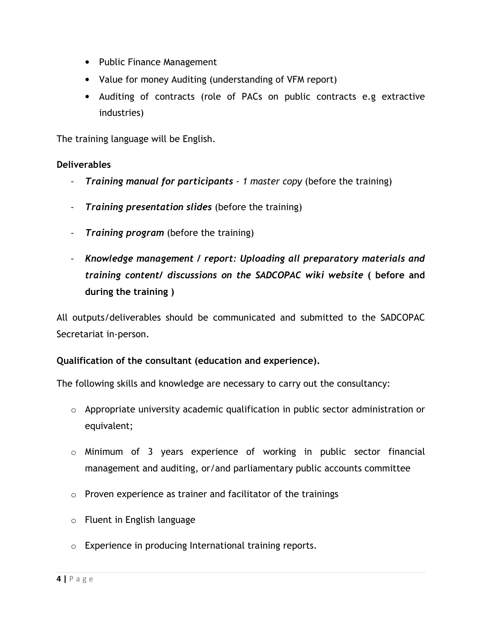- Public Finance Management
- Value for money Auditing (understanding of VFM report)
- Auditing of contracts (role of PACs on public contracts e.g extractive industries)

The training language will be English.

## **Deliverables**

- *Training manual for participants 1 master copy* (before the training)
- *Training presentation slides* (before the training)
- *Training program* (before the training)
- *Knowledge management / report: Uploading all preparatory materials and training content/ discussions on the SADCOPAC wiki website* **( before and during the training )**

All outputs/deliverables should be communicated and submitted to the SADCOPAC Secretariat in-person.

## **Qualification of the consultant (education and experience).**

The following skills and knowledge are necessary to carry out the consultancy:

- o Appropriate university academic qualification in public sector administration or equivalent;
- o Minimum of 3 years experience of working in public sector financial management and auditing, or/and parliamentary public accounts committee
- $\circ$  Proven experience as trainer and facilitator of the trainings
- o Fluent in English language
- o Experience in producing International training reports.